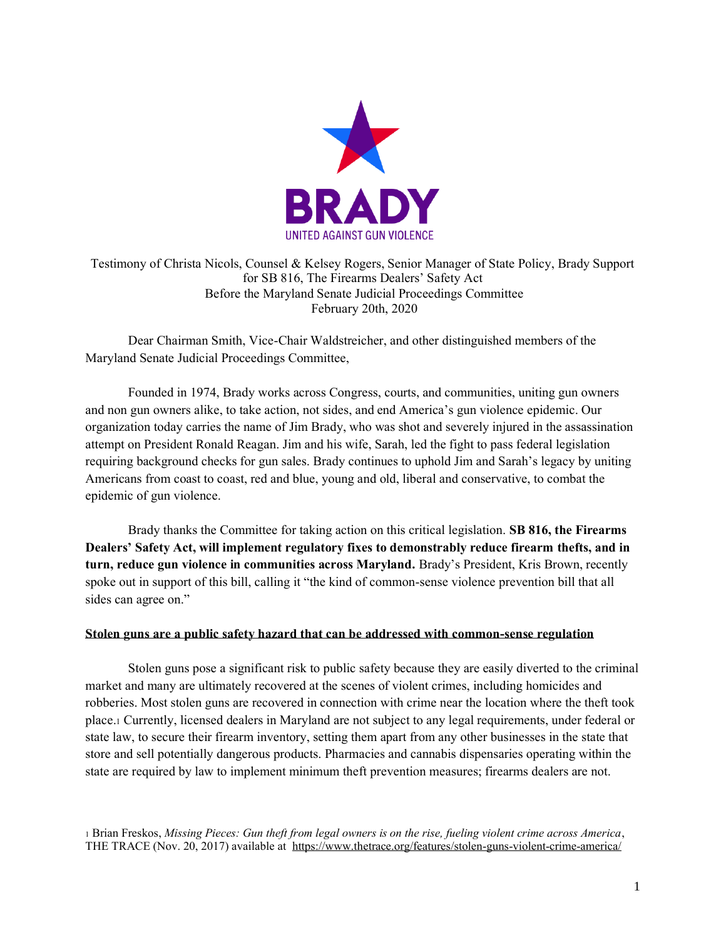

## Testimony of Christa Nicols, Counsel & Kelsey Rogers, Senior Manager of State Policy, Brady Support for SB 816, The Firearms Dealers' Safety Act Before the Maryland Senate Judicial Proceedings Committee February 20th, 2020

Dear Chairman Smith, Vice-Chair Waldstreicher, and other distinguished members of the Maryland Senate Judicial Proceedings Committee,

Founded in 1974, Brady works across Congress, courts, and communities, uniting gun owners and non gun owners alike, to take action, not sides, and end America's gun violence epidemic. Our organization today carries the name of Jim Brady, who was shot and severely injured in the assassination attempt on President Ronald Reagan. Jim and his wife, Sarah, led the fight to pass federal legislation requiring background checks for gun sales. Brady continues to uphold Jim and Sarah's legacy by uniting Americans from coast to coast, red and blue, young and old, liberal and conservative, to combat the epidemic of gun violence.

Brady thanks the Committee for taking action on this critical legislation. **SB 816, the Firearms Dealers' Safety Act, will implement regulatory fixes to demonstrably reduce firearm thefts, and in turn, reduce gun violence in communities across Maryland.** Brady's President, Kris Brown, recently spoke out in support of this bill, calling it "the kind of common-sense violence prevention bill that all sides can agree on."

## **Stolen guns are a public safety hazard that can be addressed with common-sense regulation**

Stolen guns pose a significant risk to public safety because they are easily diverted to the criminal market and many are ultimately recovered at the scenes of violent crimes, including homicides and robberies. Most stolen guns are recovered in connection with crime near the location where the theft took place.<sup>1</sup> Currently, licensed dealers in Maryland are not subject to any legal requirements, under federal or state law, to secure their firearm inventory, setting them apart from any other businesses in the state that store and sell potentially dangerous products. Pharmacies and cannabis dispensaries operating within the state are required by law to implement minimum theft prevention measures; firearms dealers are not.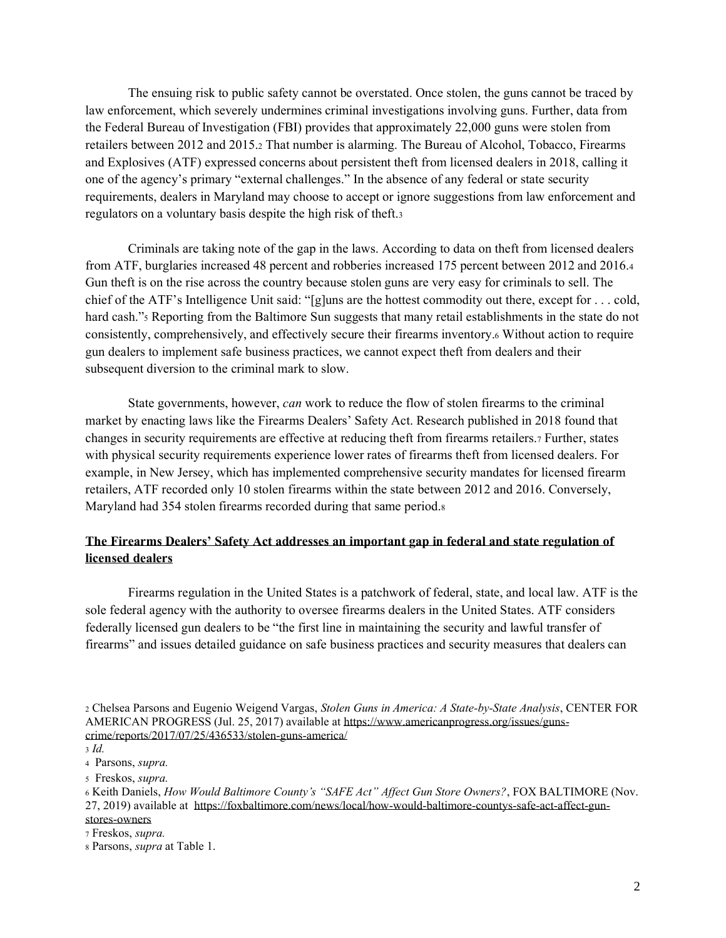The ensuing risk to public safety cannot be overstated. Once stolen, the guns cannot be traced by law enforcement, which severely undermines criminal investigations involving guns. Further, data from the Federal Bureau of Investigation (FBI) provides that approximately 22,000 guns were stolen from retailers between 2012 and 2015.<sup>2</sup> That number is alarming. The Bureau of Alcohol, Tobacco, Firearms and Explosives (ATF) expressed concerns about persistent theft from licensed dealers in 2018, calling it one of the agency's primary "external challenges." In the absence of any federal or state security requirements, dealers in Maryland may choose to accept or ignore suggestions from law enforcement and regulators on a voluntary basis despite the high risk of theft.<sup>3</sup>

Criminals are taking note of the gap in the laws. According to data on theft from licensed dealers from ATF, burglaries increased 48 percent and robberies increased 175 percent between 2012 and 2016.<sup>4</sup> Gun theft is on the rise across the country because stolen guns are very easy for criminals to sell. The chief of the ATF's Intelligence Unit said: "[g]uns are the hottest commodity out there, except for . . . cold, hard cash."<sup>5</sup> Reporting from the Baltimore Sun suggests that many retail establishments in the state do not consistently, comprehensively, and effectively secure their firearms inventory.<sup>6</sup> Without action to require gun dealers to implement safe business practices, we cannot expect theft from dealers and their subsequent diversion to the criminal mark to slow.

State governments, however, *can* work to reduce the flow of stolen firearms to the criminal market by enacting laws like the Firearms Dealers' Safety Act. Research published in 2018 found that changes in security requirements are effective at reducing theft from firearms retailers.<sup>7</sup> Further, states with physical security requirements experience lower rates of firearms theft from licensed dealers. For example, in New Jersey, which has implemented comprehensive security mandates for licensed firearm retailers, ATF recorded only 10 stolen firearms within the state between 2012 and 2016. Conversely, Maryland had 354 stolen firearms recorded during that same period.<sup>8</sup>

## **The Firearms Dealers' Safety Act addresses an important gap in federal and state regulation of licensed dealers**

Firearms regulation in the United States is a patchwork of federal, state, and local law. ATF is the sole federal agency with the authority to oversee firearms dealers in the United States. ATF considers federally licensed gun dealers to be "the first line in maintaining the security and lawful transfer of firearms" and issues detailed guidance on safe business practices and security measures that dealers can

<sup>7</sup> Freskos, *supra.* 

<sup>2</sup> Chelsea Parsons and Eugenio Weigend Vargas, *Stolen Guns in America: A State-by-State Analysis*, CENTER FOR AMERICAN PROGRESS (Jul. 25, 2017) available at [https://www.americanprogress.org/issues/guns](https://www.americanprogress.org/issues/guns-crime/reports/2017/07/25/436533/stolen-guns-america/)[crime/reports/2017/07/25/436533/stolen-guns-america/](https://www.americanprogress.org/issues/guns-crime/reports/2017/07/25/436533/stolen-guns-america/)

<sup>3</sup> *Id.* 

<sup>4</sup> Parsons, *supra.* 

<sup>5</sup> Freskos, *supra.* 

<sup>6</sup> Keith Daniels, *How Would Baltimore County's "SAFE Act" Affect Gun Store Owners?*, FOX BALTIMORE (Nov. 27, 2019) available at [https://foxbaltimore.com/news/local/how-would-baltimore-countys-safe-act-affect-gun](https://foxbaltimore.com/news/local/how-would-baltimore-countys-safe-act-affect-gun-stores-owners)[stores-owners](https://foxbaltimore.com/news/local/how-would-baltimore-countys-safe-act-affect-gun-stores-owners)

<sup>8</sup> Parsons, *supra* at Table 1.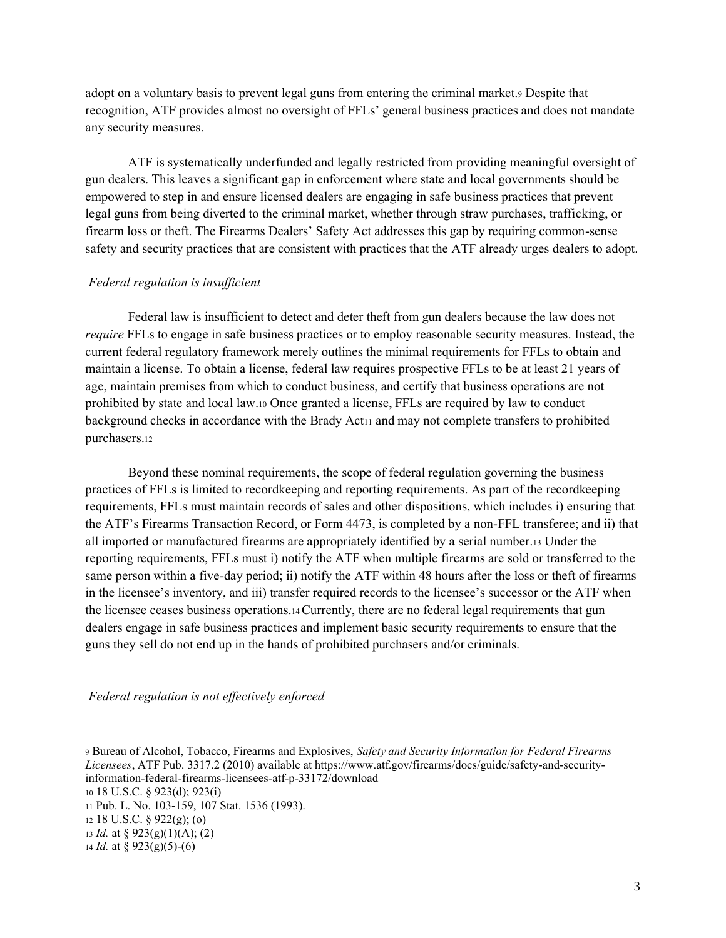adopt on a voluntary basis to prevent legal guns from entering the criminal market.<sup>9</sup> Despite that recognition, ATF provides almost no oversight of FFLs' general business practices and does not mandate any security measures.

ATF is systematically underfunded and legally restricted from providing meaningful oversight of gun dealers. This leaves a significant gap in enforcement where state and local governments should be empowered to step in and ensure licensed dealers are engaging in safe business practices that prevent legal guns from being diverted to the criminal market, whether through straw purchases, trafficking, or firearm loss or theft. The Firearms Dealers' Safety Act addresses this gap by requiring common-sense safety and security practices that are consistent with practices that the ATF already urges dealers to adopt.

### *Federal regulation is insufficient*

Federal law is insufficient to detect and deter theft from gun dealers because the law does not *require* FFLs to engage in safe business practices or to employ reasonable security measures. Instead, the current federal regulatory framework merely outlines the minimal requirements for FFLs to obtain and maintain a license. To obtain a license, federal law requires prospective FFLs to be at least 21 years of age, maintain premises from which to conduct business, and certify that business operations are not prohibited by state and local law.<sup>10</sup> Once granted a license, FFLs are required by law to conduct background checks in accordance with the Brady Act<sup>11</sup> and may not complete transfers to prohibited purchasers.<sup>12</sup>

Beyond these nominal requirements, the scope of federal regulation governing the business practices of FFLs is limited to recordkeeping and reporting requirements. As part of the recordkeeping requirements, FFLs must maintain records of sales and other dispositions, which includes i) ensuring that the ATF's Firearms Transaction Record, or Form 4473, is completed by a non-FFL transferee; and ii) that all imported or manufactured firearms are appropriately identified by a serial number.<sup>13</sup> Under the reporting requirements, FFLs must i) notify the ATF when multiple firearms are sold or transferred to the same person within a five-day period; ii) notify the ATF within 48 hours after the loss or theft of firearms in the licensee's inventory, and iii) transfer required records to the licensee's successor or the ATF when the licensee ceases business operations.14Currently, there are no federal legal requirements that gun dealers engage in safe business practices and implement basic security requirements to ensure that the guns they sell do not end up in the hands of prohibited purchasers and/or criminals.

#### *Federal regulation is not effectively enforced*

 Bureau of Alcohol, Tobacco, Firearms and Explosives, *Safety and Security Information for Federal Firearms Licensees*, ATF Pub. 3317.2 (2010) available at https://www.atf.gov/firearms/docs/guide/safety-and-securityinformation-federal-firearms-licensees-atf-p-33172/download 18 U.S.C. § 923(d); 923(i) Pub. L. No. 103-159, 107 Stat. 1536 (1993). 18 U.S.C. § 922(g); (o) *Id.* at § 923(g)(1)(A); (2) *Id.* at § 923(g)(5)-(6)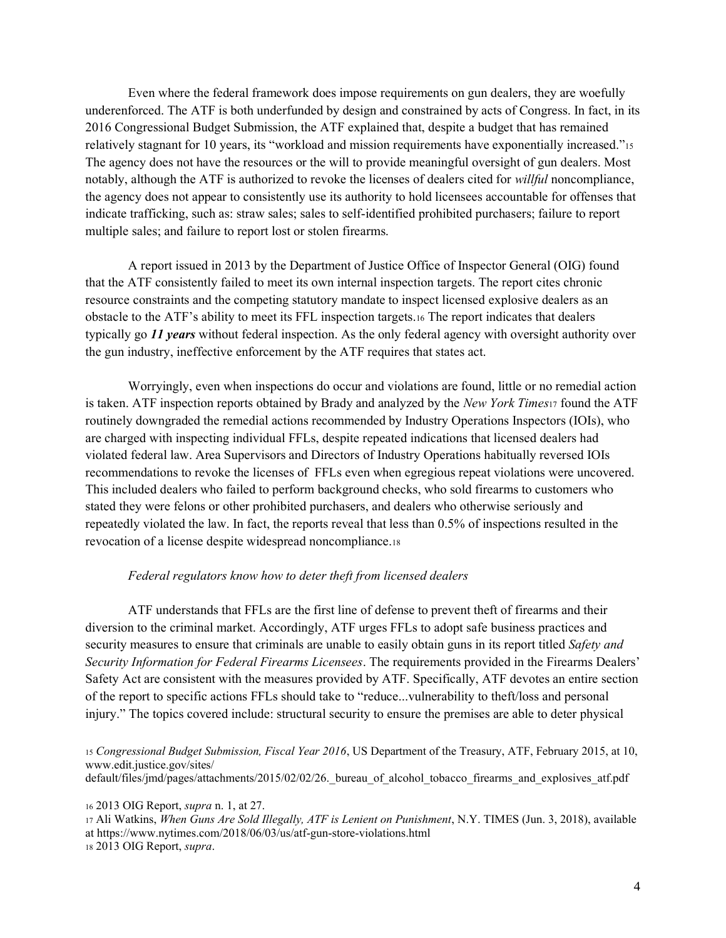Even where the federal framework does impose requirements on gun dealers, they are woefully underenforced. The ATF is both underfunded by design and constrained by acts of Congress. In fact, in its 2016 Congressional Budget Submission, the ATF explained that, despite a budget that has remained relatively stagnant for 10 years, its "workload and mission requirements have exponentially increased."<sup>15</sup> The agency does not have the resources or the will to provide meaningful oversight of gun dealers. Most notably, although the ATF is authorized to revoke the licenses of dealers cited for *willful* noncompliance, the agency does not appear to consistently use its authority to hold licensees accountable for offenses that indicate trafficking, such as: straw sales; sales to self-identified prohibited purchasers; failure to report multiple sales; and failure to report lost or stolen firearms.

A report issued in 2013 by the Department of Justice Office of Inspector General (OIG) found that the ATF consistently failed to meet its own internal inspection targets. The report cites chronic resource constraints and the competing statutory mandate to inspect licensed explosive dealers as an obstacle to the ATF's ability to meet its FFL inspection targets.<sup>16</sup> The report indicates that dealers typically go *11 years* without federal inspection. As the only federal agency with oversight authority over the gun industry, ineffective enforcement by the ATF requires that states act.

Worryingly, even when inspections do occur and violations are found, little or no remedial action is taken. ATF inspection reports obtained by Brady and analyzed by the *New York Times*<sup>17</sup> found the ATF routinely downgraded the remedial actions recommended by Industry Operations Inspectors (IOIs), who are charged with inspecting individual FFLs, despite repeated indications that licensed dealers had violated federal law. Area Supervisors and Directors of Industry Operations habitually reversed IOIs recommendations to revoke the licenses of FFLs even when egregious repeat violations were uncovered. This included dealers who failed to perform background checks, who sold firearms to customers who stated they were felons or other prohibited purchasers, and dealers who otherwise seriously and repeatedly violated the law. In fact, the reports reveal that less than 0.5% of inspections resulted in the revocation of a license despite widespread noncompliance.<sup>18</sup>

#### *Federal regulators know how to deter theft from licensed dealers*

ATF understands that FFLs are the first line of defense to prevent theft of firearms and their diversion to the criminal market. Accordingly, ATF urges FFLs to adopt safe business practices and security measures to ensure that criminals are unable to easily obtain guns in its report titled *Safety and Security Information for Federal Firearms Licensees*. The requirements provided in the Firearms Dealers' Safety Act are consistent with the measures provided by ATF. Specifically, ATF devotes an entire section of the report to specific actions FFLs should take to "reduce...vulnerability to theft/loss and personal injury." The topics covered include: structural security to ensure the premises are able to deter physical

<sup>15</sup> *Congressional Budget Submission, Fiscal Year 2016*, US Department of the Treasury, ATF, February 2015, at 10, www.edit.justice.gov/sites/

default/files/jmd/pages/attachments/2015/02/02/26. bureau of alcohol tobacco firearms and explosives atf.pdf

<sup>16</sup> 2013 OIG Report, *supra* n. 1, at 27.

<sup>17</sup> Ali Watkins, *When Guns Are Sold Illegally, ATF is Lenient on Punishment*, N.Y. TIMES (Jun. 3, 2018), available at https://www.nytimes.com/2018/06/03/us/atf-gun-store-violations.html <sup>18</sup> 2013 OIG Report, *supra*.